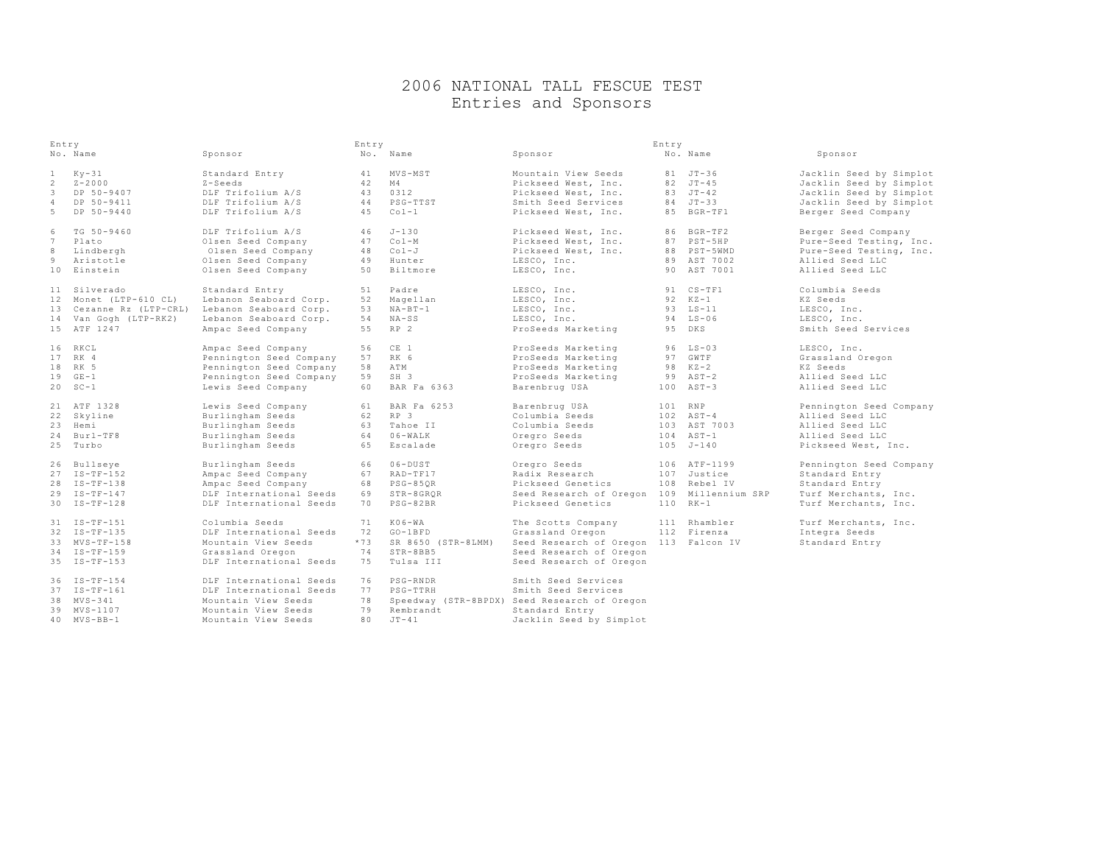## 2006 NATIONAL TALL FESCUE TEST Entries and Sponsors

| Entry          |                       |                         | Entry |                    |                                              | Entry |                |                         |
|----------------|-----------------------|-------------------------|-------|--------------------|----------------------------------------------|-------|----------------|-------------------------|
|                | No. Name              | Sponsor                 |       | No. Name           | Sponsor                                      |       | No. Name       | Sponsor                 |
| $\mathbf{1}$   | $Kv-31$               | Standard Entry          | 41    | MVS-MST            | Mountain View Seeds                          |       | 81 JT-36       | Jacklin Seed by Simplot |
| $\overline{2}$ | $Z - 2000$            | Z-Seeds                 | 42    | M <sub>4</sub>     | Pickseed West, Inc.                          |       | 82 JT-45       | Jacklin Seed by Simplot |
| 3              | DP 50-9407            | DLF Trifolium A/S       | 43    | 0312               | Pickseed West, Inc.                          |       | 83 JT-42       | Jacklin Seed by Simplot |
| $\overline{4}$ | DP 50-9411            | DLF Trifolium A/S       | 44    | PSG-TTST           | Smith Seed Services                          |       | 84 JT-33       | Jacklin Seed by Simplot |
| 5              | DP 50-9440            | DLF Trifolium A/S       | 45    | $Co1-1$            | Pickseed West, Inc.                          |       | 85 BGR-TF1     | Berger Seed Company     |
| 6              | TG 50-9460            | DLF Trifolium A/S       | 46    | $J - 130$          | Pickseed West, Inc.                          | 86    | $BGR-TF2$      | Berger Seed Company     |
| $7^{\circ}$    | Plato                 | Olsen Seed Company      | 47    | $Co1-M$            | Pickseed West, Inc.                          | 87    | $PST-5HP$      | Pure-Seed Testing, Inc. |
| 8              | Lindbergh             | Olsen Seed Company      | 48    | $Co1-J$            | Pickseed West, Inc.                          | 88    | PST-5WMD       | Pure-Seed Testing, Inc. |
| 9              | Aristotle             | Olsen Seed Company      | 49    | Hunter             | LESCO, Inc.                                  | 89    | AST 7002       | Allied Seed LLC         |
|                | 10 Einstein           | Olsen Seed Company      | 50    | Biltmore           | LESCO, Inc.                                  |       | 90 AST 7001    | Allied Seed LLC         |
|                | 11 Silverado          | Standard Entry          | 51    | Padre              | LESCO, Inc.                                  |       | $91$ $CS-TF1$  | Columbia Seeds          |
|                | 12 Monet (LTP-610 CL) | Lebanon Seaboard Corp.  | 52    | Magellan           | LESCO, Inc.                                  |       | $92$ $KZ-1$    | KZ Seeds                |
| 13             | Cezanne Rz (LTP-CRL)  | Lebanon Seaboard Corp.  | 53    | $NA - B T - 1$     | LESCO, Inc.                                  |       | 93 LS-11       | LESCO, Inc.             |
|                | 14 Van Gogh (LTP-RK2) | Lebanon Seaboard Corp.  | 54    | $NA - SS$          | LESCO, Inc.                                  | 94    | $LS - 06$      | LESCO, Inc.             |
|                | 15 ATF 1247           | Ampac Seed Company      | 55    | RP <sub>2</sub>    | ProSeeds Marketing                           |       | 95 DKS         | Smith Seed Services     |
|                | 16 RKCL               | Ampac Seed Company      | 56    | CE 1               | ProSeeds Marketing                           |       | $96$ LS-03     | LESCO, Inc.             |
| 17             | RK 4                  | Pennington Seed Company | 57    | RK 6               | ProSeeds Marketing                           | 97    | GWTF           | Grassland Oregon        |
|                | 18 RK 5               | Pennington Seed Company | 58    | ATM                | ProSeeds Marketing                           |       | $98$ KZ-2      | KZ Seeds                |
| 19             | $GE-1$                | Pennington Seed Company | 59    | SH <sub>3</sub>    | ProSeeds Marketing                           | 99    | $AST-2$        | Allied Seed LLC         |
|                | $20$ $SC-1$           | Lewis Seed Company      | 60    | BAR Fa 6363        | Barenbrug USA                                | 100   | $AST-3$        | Allied Seed LLC         |
|                | 21 ATF 1328           | Lewis Seed Company      | 61    | BAR Fa 6253        | Barenbrug USA                                | 101   | <b>RNP</b>     | Pennington Seed Company |
|                | 22 Skyline            | Burlingham Seeds        | 62    | RP <sub>3</sub>    | Columbia Seeds                               | 102   | $AST-4$        | Allied Seed LLC         |
|                | 23 Hemi               | Burlingham Seeds        | 63    | Tahoe II           | Columbia Seeds                               |       | 103 AST 7003   | Allied Seed LLC         |
|                | 24 Burl-TF8           | Burlingham Seeds        | 64    | $06 - WALK$        | Oregro Seeds                                 | 104   | $AST-1$        | Allied Seed LLC         |
|                | 25 Turbo              | Burlingham Seeds        | 6.5   | Escalade           | Oregro Seeds                                 |       | $105 J - 140$  | Pickseed West, Inc.     |
|                | 26 Bullseye           | Burlingham Seeds        | 66    | $06 - DUST$        | Oregro Seeds                                 | 106   | ATF-1199       | Pennington Seed Company |
|                | $27$ $IS-TF-152$      | Ampac Seed Company      | 67    | $RAD-TF17$         | Radix Research                               | 107   | Justice        | Standard Entry          |
|                | 28 IS-TF-138          | Ampac Seed Company      | 68    | $PSG-85OR$         | Pickseed Genetics                            | 108   | Rebel IV       | Standard Entry          |
|                | $29$ $IS-TF-147$      | DLF International Seeds | 69    | STR-8GROR          | Seed Research of Oregon                      | 109   | Millennium SRP | Turf Merchants, Inc.    |
|                | $30$ $IS-TF-128$      | DLF International Seeds | 70    | $PSG-82BR$         | Pickseed Genetics                            | 110   | $RK-1$         | Turf Merchants, Inc.    |
|                | $31$ $IS-TF-151$      | Columbia Seeds          | 71    | $K06-WA$           | The Scotts Company                           | 111   | Rhambler       | Turf Merchants, Inc.    |
|                | $32$ $IS-TF-135$      | DLF International Seeds | 72    | $GO-1BFD$          | Grassland Oregon                             | 112   | Firenza        | Integra Seeds           |
|                | 33 MVS-TF-158         | Mountain View Seeds     | $*73$ | SR 8650 (STR-8LMM) | Seed Research of Oregon 113 Falcon IV        |       |                | Standard Entry          |
|                | 34 IS-TF-159          | Grassland Oregon        | 74    | $STR-8BB5$         | Seed Research of Oregon                      |       |                |                         |
|                | $35$ $IS-TF-153$      | DLF International Seeds | 75    | Tulsa III          | Seed Research of Oregon                      |       |                |                         |
|                | 36 IS-TF-154          | DLF International Seeds | 76    | PSG-RNDR           | Smith Seed Services                          |       |                |                         |
|                | $37$ $IS-TF-161$      | DLF International Seeds | 77    | PSG-TTRH           | Smith Seed Services                          |       |                |                         |
|                | 38 MVS-341            | Mountain View Seeds     | 78    |                    | Speedway (STR-8BPDX) Seed Research of Oregon |       |                |                         |
|                | 39 MVS-1107           | Mountain View Seeds     | 79    | Rembrandt          | Standard Entry                               |       |                |                         |
|                | $40$ $MVS-BB-1$       | Mountain View Seeds     | 80    | $JT - 41$          | Jacklin Seed by Simplot                      |       |                |                         |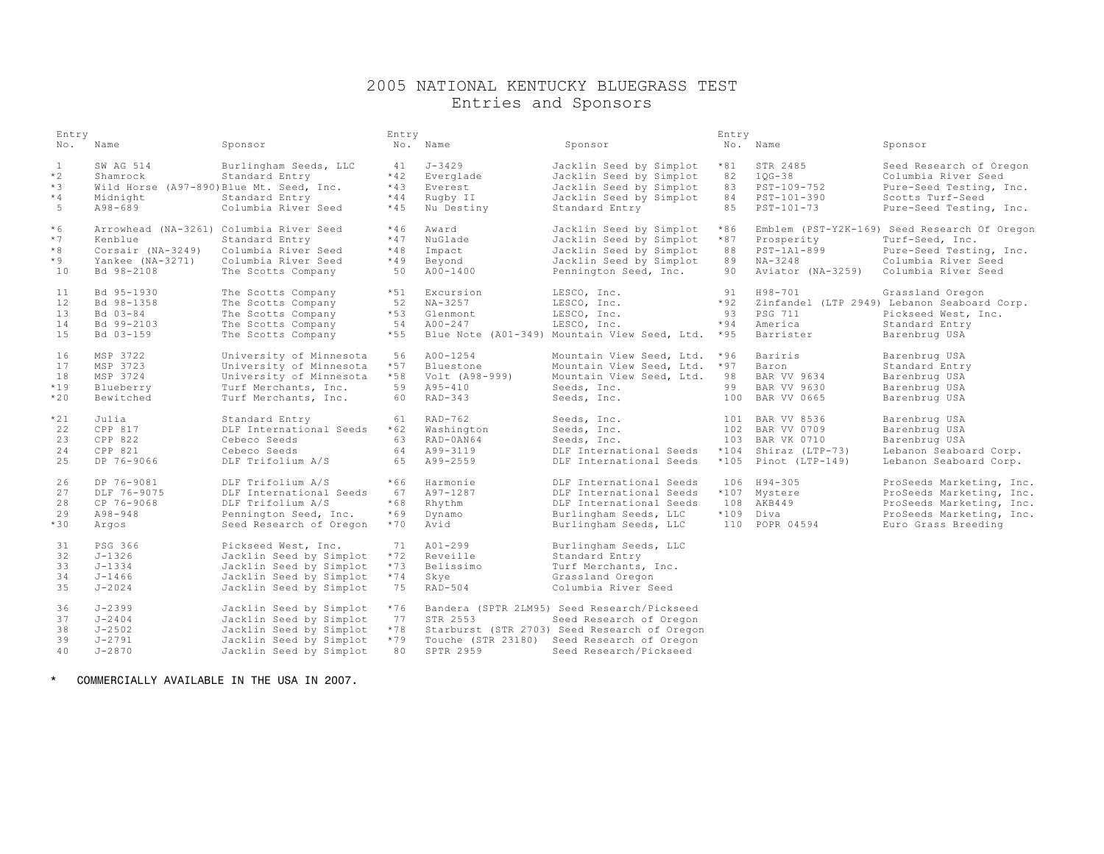### 2005 NATIONAL KENTUCKY BLUEGRASS TEST Entries and Sponsors

| Entry        |                   |                                          | Entry |                |                                              | Entry  |                    |                                              |
|--------------|-------------------|------------------------------------------|-------|----------------|----------------------------------------------|--------|--------------------|----------------------------------------------|
| No.          | Name              | Sponsor                                  |       | No. Name       | Sponsor                                      |        | No. Name           | Sponsor                                      |
| $\mathbf{1}$ | SW AG 514         | Burlingham Seeds, LLC                    | 41    | $J - 3429$     | Jacklin Seed by Simplot                      | $*81$  | STR 2485           | Seed Research of Oregon                      |
| $*2$         | Shamrock          | Standard Entry                           | $*42$ | Everglade      | Jacklin Seed by Simplot                      | 82     | $10G - 38$         | Columbia River Seed                          |
| $*3$         |                   | Wild Horse (A97-890) Blue Mt. Seed, Inc. | $*43$ | Everest        | Jacklin Seed by Simplot                      | 83     | PST-109-752        | Pure-Seed Testing, Inc.                      |
| $*4$         | Midnight          | Standard Entry                           | $*44$ | Rugby II       | Jacklin Seed by Simplot                      | 84     | PST-101-390        | Scotts Turf-Seed                             |
| - 5          | A98-689           | Columbia River Seed                      | $*45$ | Nu Destiny     | Standard Entry                               | 8.5    | PST-101-73         | Pure-Seed Testing, Inc.                      |
| $*6$         |                   | Arrowhead (NA-3261) Columbia River Seed  | $*46$ | Award          | Jacklin Seed by Simplot                      | $*86$  |                    | Emblem (PST-Y2K-169) Seed Research Of Oregon |
| $*7$         | Kenblue           | Standard Entry                           | $*47$ | NuGlade        | Jacklin Seed by Simplot                      | $*87$  | Prosperity         | Turf-Seed, Inc.                              |
| $*8$         | Corsair (NA-3249) | Columbia River Seed                      | $*48$ | Impact         | Jacklin Seed by Simplot                      | 88     | PST-1A1-899        | Pure-Seed Testing, Inc.                      |
| $*9$         | Yankee (NA-3271)  | Columbia River Seed                      | $*49$ | Beyond         | Jacklin Seed by Simplot                      | 89     | NA-3248            | Columbia River Seed                          |
| 10           | Bd 98-2108        | The Scotts Company                       | 50    | $A00 - 1400$   | Pennington Seed, Inc.                        | 90     | Aviator (NA-3259)  | Columbia River Seed                          |
| 11           | Bd 95-1930        | The Scotts Company                       | $*51$ | Excursion      | LESCO, Inc.                                  | 91     | H98-701            | Grassland Oregon                             |
| 12           | Bd 98-1358        | The Scotts Company                       | 52    | $NA - 3257$    | LESCO, Inc.                                  | $*92$  |                    | Zinfandel (LTP 2949) Lebanon Seaboard Corp.  |
| 13           | Bd 03-84          | The Scotts Company                       | $*53$ | Glenmont       | LESCO, Inc.                                  | 93     | PSG 711            | Pickseed West, Inc.                          |
| 14           | Bd 99-2103        | The Scotts Company                       | 54    | $A00 - 247$    | LESCO, Inc.                                  | $*94$  | America            | Standard Entry                               |
| 15           | Bd 03-159         | The Scotts Company                       | $*55$ |                | Blue Note (A01-349) Mountain View Seed, Ltd. | $*95$  | Barrister          | Barenbrug USA                                |
| 16           | MSP 3722          | University of Minnesota                  | 56    | A00-1254       | Mountain View Seed, Ltd.                     | *96    | Bariris            | Barenbrug USA                                |
| 17           | MSP 3723          | University of Minnesota                  | $*57$ | Bluestone      | Mountain View Seed, Ltd.                     | $*97$  | Baron              | Standard Entry                               |
| 18           | MSP 3724          | University of Minnesota                  | $*58$ | Volt (A98-999) | Mountain View Seed, Ltd.                     | 98     | BAR VV 9634        | Barenbrug USA                                |
| $*19$        | Blueberry         | Turf Merchants, Inc.                     | 59    | $A95 - 410$    | Seeds, Inc.                                  | 99     | <b>BAR VV 9630</b> | Barenbrug USA                                |
| $*20$        | Bewitched         | Turf Merchants, Inc.                     | 60    | $RAD-343$      | Seeds, Inc.                                  | 100    | <b>BAR VV 0665</b> | Barenbrug USA                                |
| *21          | Julia             | Standard Entry                           | 61    | $RAD-762$      | Seeds, Inc.                                  | 101    | <b>BAR VV 8536</b> | Barenbrug USA                                |
| 22           | CPP 817           | DLF International Seeds                  | $*62$ | Washington     | Seeds, Inc.                                  | 102    | <b>BAR VV 0709</b> | Barenbrug USA                                |
| 23           | CPP 822           | Cebeco Seeds                             | 63    | RAD-0AN64      | Seeds, Inc.                                  | 103    | <b>BAR VK 0710</b> | Barenbrug USA                                |
| 24           | CPP 821           | Cebeco Seeds                             | 64    | A99-3119       | DLF International Seeds                      | $*104$ | Shiraz (LTP-73)    | Lebanon Seaboard Corp.                       |
| 25           | DP 76-9066        | DLF Trifolium A/S                        | 65    | A99-2559       | DLF International Seeds                      | $*105$ | Pinot (LTP-149)    | Lebanon Seaboard Corp.                       |
| 26           | DP 76-9081        | DLF Trifolium A/S                        | $*66$ | Harmonie       | DLF International Seeds                      | 106    | H94-305            | ProSeeds Marketing, Inc.                     |
| 27           | DLF 76-9075       | DLF International Seeds                  | 67    | A97-1287       | DLF International Seeds                      |        | *107 Mystere       | ProSeeds Marketing, Inc.                     |
| 28           | CP 76-9068        | DLF Trifolium A/S                        | $*68$ | Rhythm         | DLF International Seeds                      |        | 108 AKB449         | ProSeeds Marketing, Inc.                     |
| 29           | A98-948           | Pennington Seed, Inc.                    | $*69$ | Dynamo         | Burlingham Seeds, LLC                        |        | *109 Diva          | ProSeeds Marketing, Inc.                     |
| $*30$        | Argos             | Seed Research of Oregon                  | $*70$ | Avid           | Burlingham Seeds, LLC                        |        | 110 POPR 04594     | Euro Grass Breeding                          |
| 31           | PSG 366           | Pickseed West, Inc.                      | 71    | $A01 - 299$    | Burlingham Seeds, LLC                        |        |                    |                                              |
| 32           | $J - 1326$        | Jacklin Seed by Simplot                  | $*72$ | Reveille       | Standard Entry                               |        |                    |                                              |
| 33           | $J - 1334$        | Jacklin Seed by Simplot                  | $*73$ | Belissimo      | Turf Merchants, Inc.                         |        |                    |                                              |
| 34           | $J - 1466$        | Jacklin Seed by Simplot                  | $*74$ | Skye           | Grassland Oregon                             |        |                    |                                              |
| 35           | $J - 2024$        | Jacklin Seed by Simplot                  | 75    | RAD-504        | Columbia River Seed                          |        |                    |                                              |
| 36           | $J - 2399$        | Jacklin Seed by Simplot                  | $*76$ |                | Bandera (SPTR 2LM95) Seed Research/Pickseed  |        |                    |                                              |
| 37           | $J - 2404$        | Jacklin Seed by Simplot                  | 77    | STR 2553       | Seed Research of Oregon                      |        |                    |                                              |
| 38           | $J - 2502$        | Jacklin Seed by Simplot                  | $*78$ |                | Starburst (STR 2703) Seed Research of Oregon |        |                    |                                              |
| 39           | $J - 2791$        | Jacklin Seed by Simplot                  | $*79$ |                | Touche (STR 23180) Seed Research of Oregon   |        |                    |                                              |
| 40           | $J - 2870$        | Jacklin Seed by Simplot                  | 80    | SPTR 2959      | Seed Research/Pickseed                       |        |                    |                                              |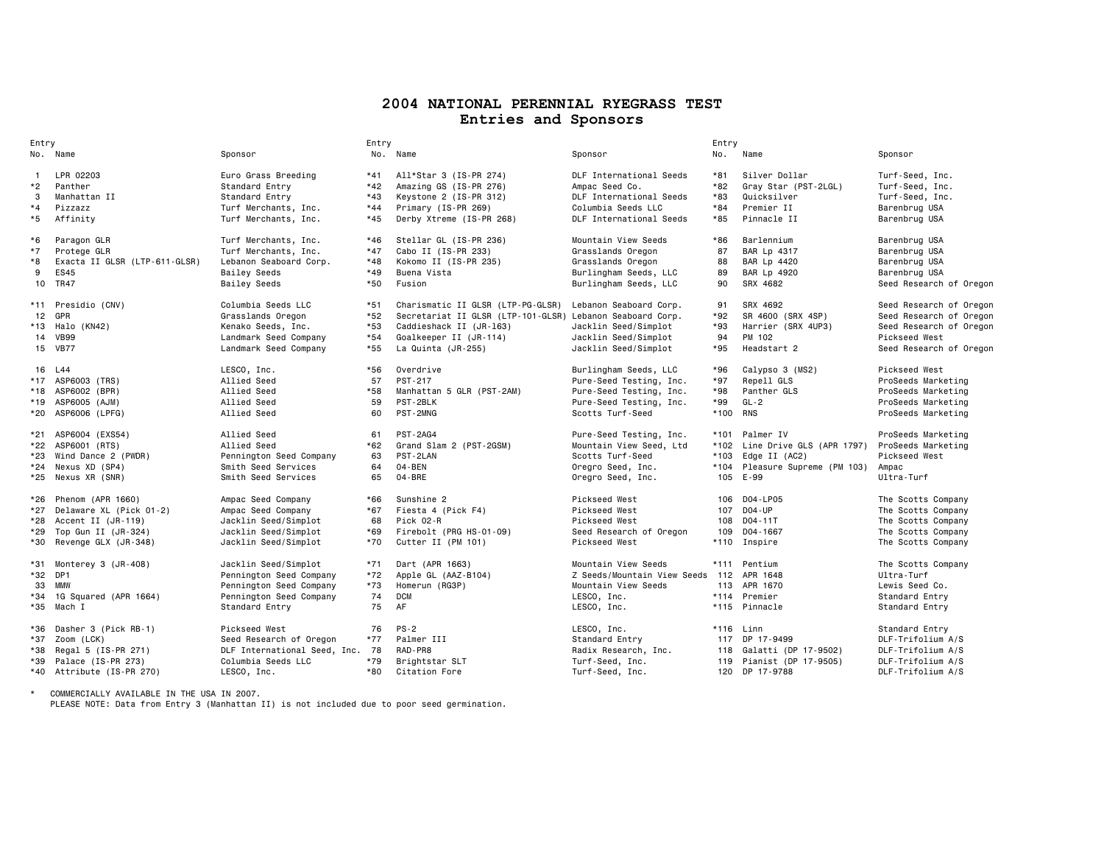### **2004 NATIONAL PERENNIAL RYEGRASS TEST Entries and Sponsors**

| Entry |                               |                                 | Entry |                                                           |                                 | Entry  |                           |                         |
|-------|-------------------------------|---------------------------------|-------|-----------------------------------------------------------|---------------------------------|--------|---------------------------|-------------------------|
|       | No. Name                      | Sponsor                         | No.   | Name                                                      | Sponsor                         | No.    | Name                      | Sponsor                 |
| -1    | LPR 02203                     | Euro Grass Breeding             | *41   | All*Star 3 (IS-PR 274)                                    | DLF International Seeds         | $*81$  | Silver Dollar             | Turf-Seed, Inc.         |
| $*2$  | Panther                       | Standard Entry                  | $*42$ | Amazing GS (IS-PR 276)                                    | Ampac Seed Co.                  | *82    | Gray Star (PST-2LGL)      | Turf-Seed, Inc.         |
| 3     | Manhattan II                  | Standard Entry                  | $*43$ | Keystone 2 (IS-PR 312)                                    | DLF International Seeds         | *83    | Quicksilver               | Turf-Seed, Inc.         |
| $*4$  | Pizzazz                       | Turf Merchants, Inc.            | $*44$ | Primary (IS-PR 269)                                       | Columbia Seeds LLC              | $*84$  | Premier II                | Barenbrug USA           |
| $*5$  | Affinity                      | Turf Merchants, Inc.            | $*45$ | Derby Xtreme (IS-PR 268)                                  | DLF International Seeds         | *85    | Pinnacle II               | Barenbrug USA           |
| *6    | Paragon GLR                   | Turf Merchants, Inc.            | $*46$ | Stellar GL (IS-PR 236)                                    | Mountain View Seeds             | *86    | Barlennium                | Barenbrug USA           |
| $*7$  | Protege GLR                   | Turf Merchants, Inc.            | $*47$ | Cabo II (IS-PR 233)                                       | Grasslands Oregon               | 87     | <b>BAR Lp 4317</b>        | Barenbrug USA           |
| *8    | Exacta II GLSR (LTP-611-GLSR) | Lebanon Seaboard Corp.          | *48   | Kokomo II (IS-PR 235)                                     | Grasslands Oregon               | 88     | <b>BAR Lp 4420</b>        | Barenbrug USA           |
| 9     | <b>ES45</b>                   | Bailey Seeds                    | $*49$ | Buena Vista                                               | Burlingham Seeds, LLC           | 89     | <b>BAR Lp 4920</b>        | Barenbrug USA           |
| 10    | <b>TR47</b>                   | Bailey Seeds                    | *50   | Fusion                                                    | Burlingham Seeds, LLC           | 90     | SRX 4682                  | Seed Research of Oregon |
|       | *11 Presidio (CNV)            | Columbia Seeds LLC              | $*51$ | Charismatic II GLSR (LTP-PG-GLSR)                         | Lebanon Seaboard Corp.          | 91     | SRX 4692                  | Seed Research of Oregon |
| 12    | GPR                           | Grasslands Oregon               | *52   | Secretariat II GLSR (LTP-101-GLSR) Lebanon Seaboard Corp. |                                 | *92    | SR 4600 (SRX 4SP)         | Seed Research of Oregon |
|       | *13 Halo (KN42)               | Kenako Seeds, Inc.              | $*53$ | Caddieshack II (JR-163)                                   | Jacklin Seed/Simplot            | $*93$  | Harrier (SRX 4UP3)        | Seed Research of Oregon |
|       | 14 VB99                       | Landmark Seed Company           | *54   | Goalkeeper II (JR-114)                                    | Jacklin Seed/Simplot            | 94     | PM 102                    | Pickseed West           |
|       | 15 VB77                       | Landmark Seed Company           | *55   | La Quinta (JR-255)                                        | Jacklin Seed/Simplot            | *95    | Headstart 2               | Seed Research of Oregon |
|       | 16 L44                        | LESCO, Inc.                     | *56   | Overdrive                                                 | Burlingham Seeds, LLC           | *96    | Calypso 3 (MS2)           | Pickseed West           |
|       | *17 ASP6003 (TRS)             | Allied Seed                     | 57    | <b>PST-217</b>                                            | Pure-Seed Testing, Inc.         | *97    | Repell GLS                | ProSeeds Marketing      |
|       | *18 ASP6002 (BPR)             | Allied Seed                     | *58   | Manhattan 5 GLR (PST-2AM)                                 | Pure-Seed Testing, Inc.         | *98    | Panther GLS               | ProSeeds Marketing      |
| *19   | ASP6005 (AJM)                 | Allied Seed                     | 59    | PST-2BLK                                                  | Pure-Seed Testing, Inc.         | *99    | $GL-2$                    | ProSeeds Marketing      |
| *20   | ASP6006 (LPFG)                | Allied Seed                     | 60    | PST-2MNG                                                  | Scotts Turf-Seed                | $*100$ | <b>RNS</b>                | ProSeeds Marketing      |
|       | *21 ASP6004 (EXS54)           | Allied Seed                     | 61    | PST-2AG4                                                  | Pure-Seed Testing, Inc.         | $*101$ | Palmer IV                 | ProSeeds Marketing      |
| *22   | ASP6001 (RTS)                 | Allied Seed                     | *62   | Grand Slam 2 (PST-2GSM)                                   | Mountain View Seed, Ltd         | *102   | Line Drive GLS (APR 1797) | ProSeeds Marketing      |
| *23   | Wind Dance 2 (PWDR)           | Pennington Seed Company         | 63    | PST-2LAN                                                  | Scotts Turf-Seed                | *103   | Edge II (AC2)             | Pickseed West           |
| *24   | Nexus XD (SP4)                | Smith Seed Services             | 64    | 04-BEN                                                    | Oregro Seed, Inc.               | $*104$ | Pleasure Supreme (PM 103) | Ampac                   |
|       | *25 Nexus XR (SNR)            | Smith Seed Services             | 65    | 04-BRE                                                    | Oregro Seed, Inc.               | 105    | E-99                      | Ultra-Turf              |
| *26   | Phenom (APR 1660)             | Ampac Seed Company              | *66   | Sunshine 2                                                | Pickseed West                   | 106    | D04-LP05                  | The Scotts Company      |
| *27   | Delaware XL (Pick 01-2)       | Ampac Seed Company              | *67   | Fiesta 4 (Pick F4)                                        | Pickseed West                   | 107    | D04-UP                    | The Scotts Company      |
| *28   | Accent II (JR-119)            | Jacklin Seed/Simplot            | 68    | Pick 02-R                                                 | Pickseed West                   |        | 108 D04-11T               | The Scotts Company      |
| *29   | Top Gun II (JR-324)           | Jacklin Seed/Simplot            | *69   | Firebolt (PRG HS-01-09)                                   | Seed Research of Oregon         | 109    | D04-1667                  | The Scotts Company      |
| *30   | Revenge GLX (JR-348)          | Jacklin Seed/Simplot            | $*70$ | Cutter II (PM 101)                                        | Pickseed West                   |        | *110 Inspire              | The Scotts Company      |
|       | *31 Monterey 3 (JR-408)       | Jacklin Seed/Simplot            | *71   | Dart (APR 1663)                                           | Mountain View Seeds             |        | *111 Pentium              | The Scotts Company      |
| *32   | DP1                           | Pennington Seed Company         | *72   | Apple GL (AAZ-B104)                                       | Z Seeds/Mountain View Seeds 112 |        | APR 1648                  | Ultra-Turf              |
| 33    | MMW                           | Pennington Seed Company         | $*73$ | Homerun (RG3P)                                            | Mountain View Seeds             |        | 113 APR 1670              | Lewis Seed Co.          |
| *34   | 1G Squared (APR 1664)         | Pennington Seed Company         | 74    | <b>DCM</b>                                                | LESCO, Inc.                     |        | *114 Premier              | Standard Entry          |
|       | *35 Mach I                    | Standard Entry                  | 75    | AF                                                        | LESCO, Inc.                     |        | *115 Pinnacle             | Standard Entry          |
| *36   | Dasher 3 (Pick RB-1)          | Pickseed West                   | 76    | $PS-2$                                                    | LESCO, Inc.                     |        | *116 Linn                 | Standard Entry          |
| *37   | Zoom (LCK)                    | Seed Research of Oregon         | $*77$ | Palmer III                                                | Standard Entry                  | 117    | DP 17-9499                | DLF-Trifolium A/S       |
| *38   | Regal 5 (IS-PR 271)           | DLF International Seed, Inc. 78 |       | RAD-PR8                                                   | Radix Research, Inc.            | 118    | Galatti (DP 17-9502)      | DLF-Trifolium A/S       |
| *39   | Palace (IS-PR 273)            | Columbia Seeds LLC              | *79   | Brightstar SLT                                            | Turf-Seed, Inc.                 |        | 119 Pianist (DP 17-9505)  | DLF-Trifolium A/S       |
|       | *40 Attribute (IS-PR 270)     | LESCO, Inc.                     | $*80$ | Citation Fore                                             | Turf-Seed, Inc.                 |        | 120 DP 17-9788            | DLF-Trifolium A/S       |

\* COMMERCIALLY AVAILABLE IN THE USA IN 2007. PLEASE NOTE: Data from Entry 3 (Manhattan II) is not included due to poor seed germination.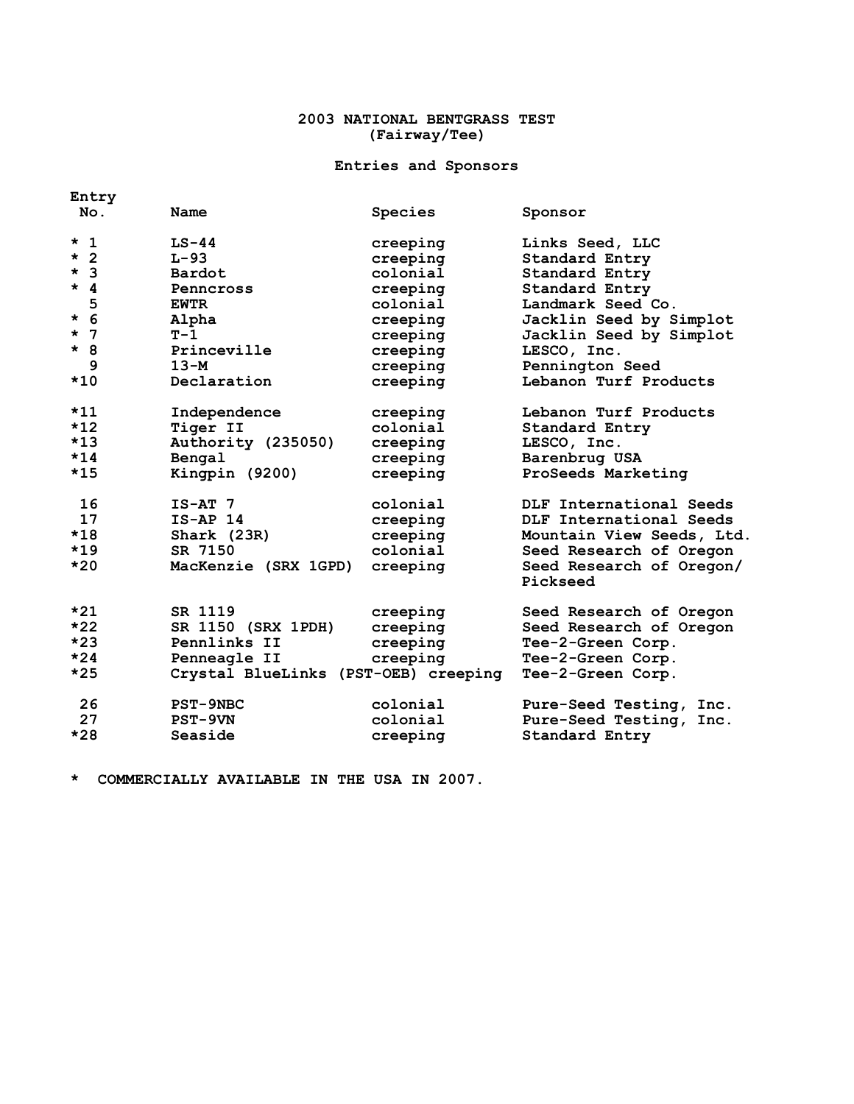### **2003 NATIONAL BENTGRASS TEST (Fairway/Tee)**

## **Entries and Sponsors**

| Entry     |                                      |          |                                      |
|-----------|--------------------------------------|----------|--------------------------------------|
| No.       | Name                                 | Species  | Sponsor                              |
| $\star$ 1 | $LS-44$                              | creeping | Links Seed, LLC                      |
| $*2$      | $L-93$                               | creeping | Standard Entry                       |
| $*$ 3     | Bardot                               | colonial | Standard Entry                       |
| $*$ 4     | Penncross                            | creeping | Standard Entry                       |
| 5         | <b>EWTR</b>                          | colonial | Landmark Seed Co.                    |
| $* 6$     | Alpha                                | creeping | Jacklin Seed by Simplot              |
| $*$ 7     | $T-1$                                | creeping | Jacklin Seed by Simplot              |
| $*$ 8     | Princeville                          | creeping | LESCO, Inc.                          |
| 9         | $13-M$                               | creeping | Pennington Seed                      |
| $*10$     | Declaration                          | creeping | Lebanon Turf Products                |
| $*11$     | Independence                         | creeping | Lebanon Turf Products                |
| $*12$     | Tiger II                             | colonial | Standard Entry                       |
| $*13$     | Authority (235050)                   | creeping | LESCO, Inc.                          |
| $*14$     | Bengal                               | creeping | Barenbrug USA                        |
| $*15$     | Kingpin (9200)                       | creeping | ProSeeds Marketing                   |
| 16        | $IS-AT$ 7                            | colonial | DLF International Seeds              |
| 17        | $IS-AP$ 14                           | creeping | DLF International Seeds              |
| $*18$     | Shark (23R)                          | creeping | Mountain View Seeds, Ltd.            |
| $*19$     | SR 7150                              | colonial | Seed Research of Oregon              |
| $*20$     | MacKenzie (SRX 1GPD)                 | creeping | Seed Research of Oregon/<br>Pickseed |
| $*21$     | SR 1119                              | creeping | Seed Research of Oregon              |
| $*22$     | SR 1150 (SRX 1PDH)                   | creeping | Seed Research of Oregon              |
| $*23$     | Pennlinks II                         | creeping | Tee-2-Green Corp.                    |
| $*24$     | Penneagle II                         | creeping | Tee-2-Green Corp.                    |
| $*25$     | Crystal BlueLinks (PST-OEB) creeping |          | Tee-2-Green Corp.                    |
| 26        | <b>PST-9NBC</b>                      | colonial | Pure-Seed Testing,<br>Inc.           |
| 27        | <b>PST-9VN</b>                       | colonial | Pure-Seed Testing,<br>Inc.           |
| $*28$     | Seaside                              | creeping | Standard Entry                       |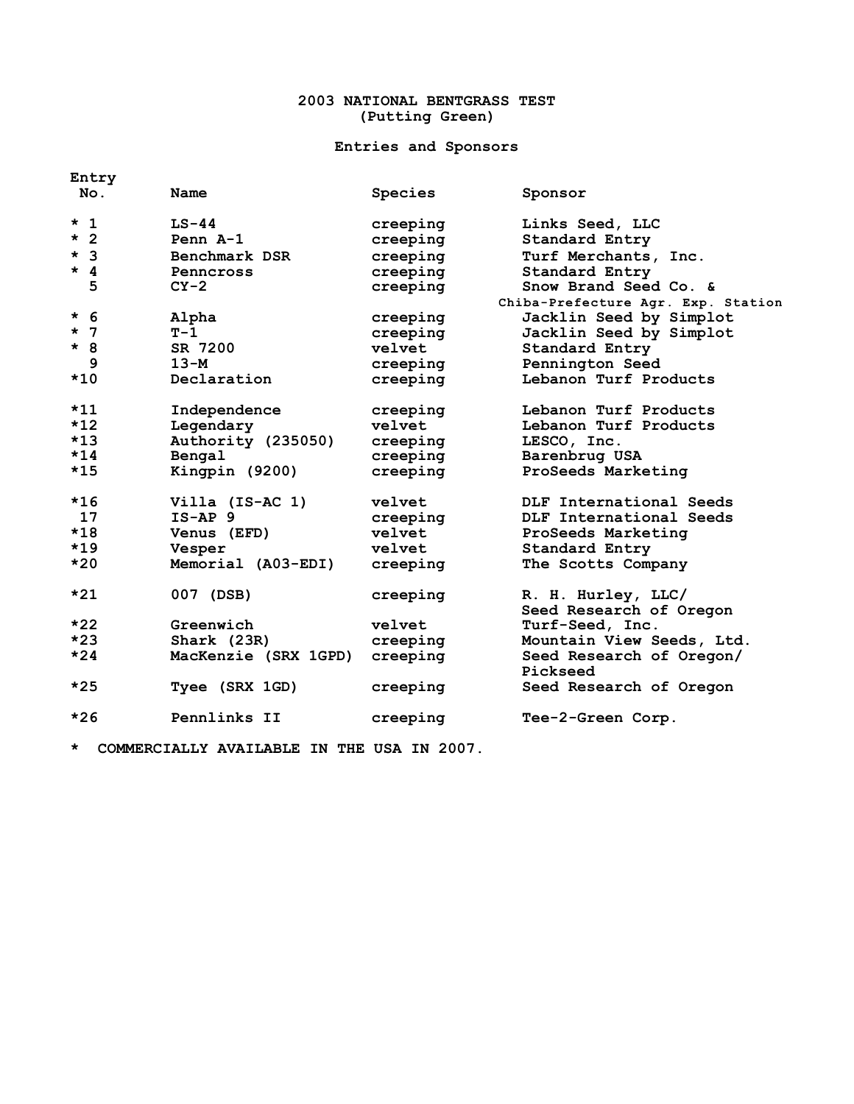### **2003 NATIONAL BENTGRASS TEST (Putting Green)**

## **Entries and Sponsors**

| Entry     |                      |          |                                               |
|-----------|----------------------|----------|-----------------------------------------------|
| No.       | Name                 | Species  | Sponsor                                       |
| $\star$ 1 | $LS-44$              | creeping | Links Seed, LLC                               |
| $*2$      | Penn $A-1$           | creeping | Standard Entry                                |
| $*$ 3     | Benchmark DSR        | creeping | Turf Merchants, Inc.                          |
| $*$ 4     | Penncross            | creeping | Standard Entry                                |
| 5         | $CY-2$               | creeping | Snow Brand Seed Co. &                         |
|           |                      |          | Chiba-Prefecture Agr. Exp. Station            |
| $* 6$     | Alpha                | creeping | Jacklin Seed by Simplot                       |
| $\star$ 7 | $T-1$                | creeping | Jacklin Seed by Simplot                       |
| $* 8$     | SR 7200              | velvet   | Standard Entry                                |
| 9         | $13-M$               | creeping | Pennington Seed                               |
| $*10$     | Declaration          | creeping | Lebanon Turf Products                         |
| $*11$     | Independence         | creeping | Lebanon Turf Products                         |
| $*12$     | Legendary            | velvet   | Lebanon Turf Products                         |
| $*13$     | Authority (235050)   | creeping | LESCO, Inc.                                   |
| $*14$     | Bengal               | creeping | Barenbrug USA                                 |
| $*15$     | Kingpin (9200)       | creeping | ProSeeds Marketing                            |
| $*16$     | Villa (IS-AC 1)      | velvet   | DLF International Seeds                       |
| 17        | $IS-AP$ 9            | creeping | DLF International Seeds                       |
| $*18$     | Venus (EFD)          | velvet   | ProSeeds Marketing                            |
| $*19$     | Vesper               | velvet   | Standard Entry                                |
| $*20$     | Memorial (A03-EDI)   | creeping | The Scotts Company                            |
| $*21$     | 007 (DSB)            | creeping | R. H. Hurley, LLC/<br>Seed Research of Oregon |
| *22       | Greenwich            | velvet   | Turf-Seed, Inc.                               |
| $*23$     | Shark (23R)          | creeping | Mountain View Seeds, Ltd.                     |
| $*24$     | MacKenzie (SRX 1GPD) | creeping | Seed Research of Oregon/<br>Pickseed          |
| $*25$     | Tyee (SRX 1GD)       | creeping | Seed Research of Oregon                       |
| *26       | Pennlinks II         | creeping | Tee-2-Green Corp.                             |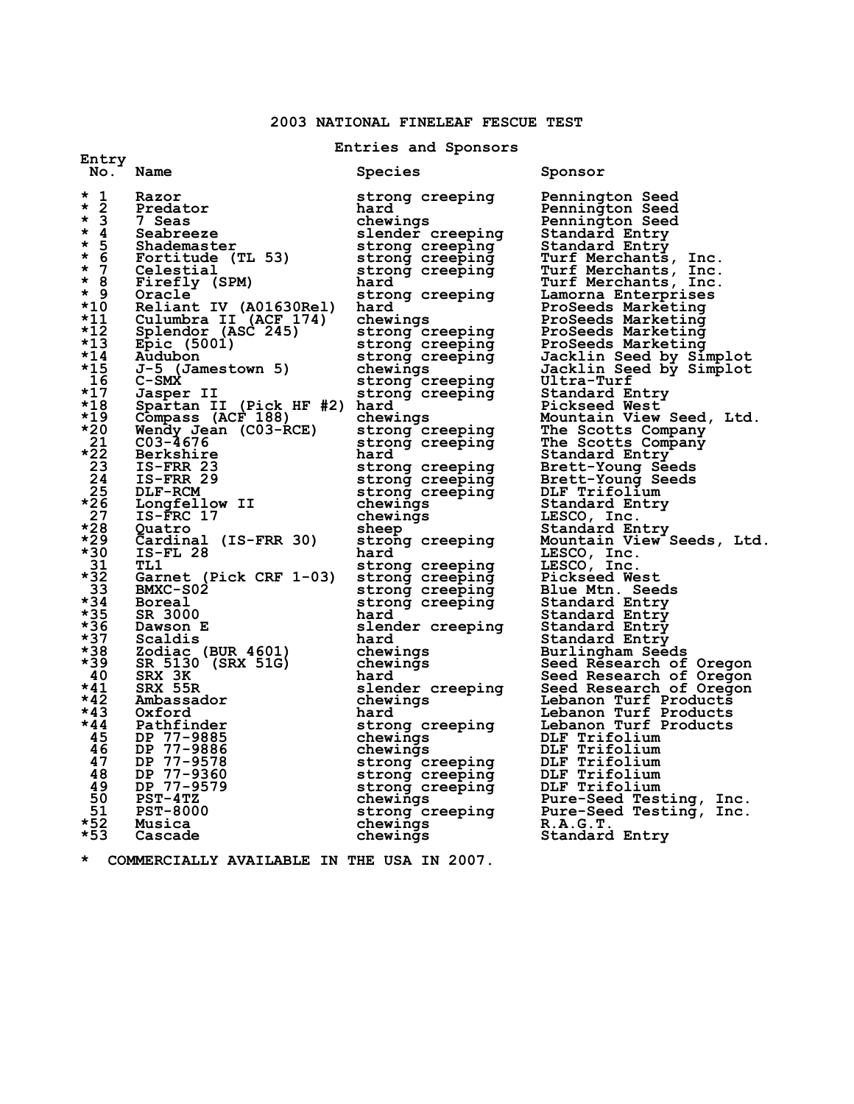#### **2003 NATIONAL FINELEAF FESCUE TEST**

**Entries and Sponsors**

| Entry<br>No. | Name                                       | ---- - <u>-</u> -------<br>Species | Sponsor<br>Rhow and the strong cross-<br>$\begin{pmatrix} 1 & 0 & 0 & 0 \\ 0 & 0 & 0 & 0 \\ 0 & 0 & 0 & 0 \\ 0 & 0 & 0 & 0 \\ 0 & 0 & 0 & 0 \\ 0 & 0 & 0 & 0 \\ 0 & 0 & 0 & 0 \\ 0 & 0 & 0 & 0 \\ 0 & 0 & 0 & 0 \\ 0 & 0 & 0 & 0 \\ 0 & 0 & 0 & 0 \\ 0 & 0 & 0 & 0 \\ 0 & 0 & 0 & 0 \\ 0 & 0 & 0 & 0 \\ 0 & 0 & 0 & 0 \\ 0 & 0 &$ |
|--------------|--------------------------------------------|------------------------------------|-----------------------------------------------------------------------------------------------------------------------------------------------------------------------------------------------------------------------------------------------------------------------------------------------------------------------------------|
|              |                                            |                                    |                                                                                                                                                                                                                                                                                                                                   |
|              |                                            |                                    |                                                                                                                                                                                                                                                                                                                                   |
|              |                                            |                                    |                                                                                                                                                                                                                                                                                                                                   |
|              |                                            |                                    |                                                                                                                                                                                                                                                                                                                                   |
|              |                                            |                                    |                                                                                                                                                                                                                                                                                                                                   |
|              |                                            |                                    |                                                                                                                                                                                                                                                                                                                                   |
|              |                                            |                                    |                                                                                                                                                                                                                                                                                                                                   |
|              |                                            |                                    |                                                                                                                                                                                                                                                                                                                                   |
|              |                                            |                                    |                                                                                                                                                                                                                                                                                                                                   |
|              |                                            |                                    |                                                                                                                                                                                                                                                                                                                                   |
|              |                                            |                                    |                                                                                                                                                                                                                                                                                                                                   |
|              |                                            |                                    |                                                                                                                                                                                                                                                                                                                                   |
|              |                                            |                                    |                                                                                                                                                                                                                                                                                                                                   |
|              |                                            |                                    |                                                                                                                                                                                                                                                                                                                                   |
|              |                                            |                                    |                                                                                                                                                                                                                                                                                                                                   |
|              |                                            |                                    |                                                                                                                                                                                                                                                                                                                                   |
|              |                                            |                                    |                                                                                                                                                                                                                                                                                                                                   |
|              |                                            |                                    |                                                                                                                                                                                                                                                                                                                                   |
|              |                                            |                                    |                                                                                                                                                                                                                                                                                                                                   |
|              |                                            |                                    |                                                                                                                                                                                                                                                                                                                                   |
|              |                                            |                                    |                                                                                                                                                                                                                                                                                                                                   |
|              |                                            |                                    |                                                                                                                                                                                                                                                                                                                                   |
|              |                                            |                                    |                                                                                                                                                                                                                                                                                                                                   |
|              |                                            |                                    |                                                                                                                                                                                                                                                                                                                                   |
|              |                                            |                                    |                                                                                                                                                                                                                                                                                                                                   |
|              |                                            |                                    |                                                                                                                                                                                                                                                                                                                                   |
|              |                                            |                                    |                                                                                                                                                                                                                                                                                                                                   |
|              |                                            |                                    |                                                                                                                                                                                                                                                                                                                                   |
|              |                                            |                                    |                                                                                                                                                                                                                                                                                                                                   |
|              |                                            |                                    |                                                                                                                                                                                                                                                                                                                                   |
|              |                                            |                                    |                                                                                                                                                                                                                                                                                                                                   |
|              |                                            |                                    |                                                                                                                                                                                                                                                                                                                                   |
|              |                                            |                                    |                                                                                                                                                                                                                                                                                                                                   |
|              |                                            |                                    |                                                                                                                                                                                                                                                                                                                                   |
|              |                                            |                                    |                                                                                                                                                                                                                                                                                                                                   |
|              |                                            |                                    |                                                                                                                                                                                                                                                                                                                                   |
|              |                                            |                                    |                                                                                                                                                                                                                                                                                                                                   |
|              |                                            |                                    |                                                                                                                                                                                                                                                                                                                                   |
|              |                                            |                                    |                                                                                                                                                                                                                                                                                                                                   |
|              |                                            |                                    |                                                                                                                                                                                                                                                                                                                                   |
|              |                                            |                                    |                                                                                                                                                                                                                                                                                                                                   |
|              |                                            |                                    |                                                                                                                                                                                                                                                                                                                                   |
|              |                                            |                                    |                                                                                                                                                                                                                                                                                                                                   |
|              |                                            |                                    |                                                                                                                                                                                                                                                                                                                                   |
|              |                                            |                                    |                                                                                                                                                                                                                                                                                                                                   |
|              |                                            |                                    |                                                                                                                                                                                                                                                                                                                                   |
|              |                                            |                                    |                                                                                                                                                                                                                                                                                                                                   |
|              |                                            |                                    |                                                                                                                                                                                                                                                                                                                                   |
|              |                                            |                                    |                                                                                                                                                                                                                                                                                                                                   |
|              |                                            |                                    |                                                                                                                                                                                                                                                                                                                                   |
|              |                                            |                                    |                                                                                                                                                                                                                                                                                                                                   |
| $\star$      | COMMERCIALLY AVAILABLE IN THE USA IN 2007. |                                    |                                                                                                                                                                                                                                                                                                                                   |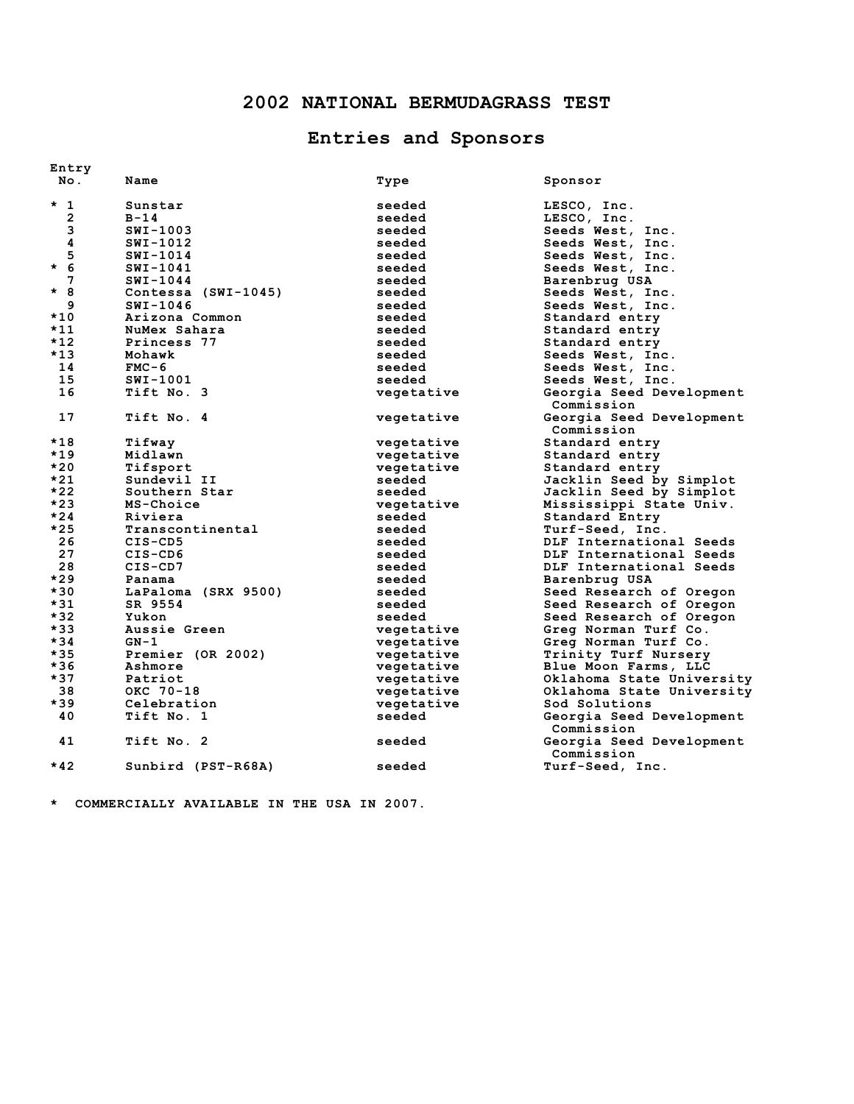## **2002 NATIONAL BERMUDAGRASS TEST**

# **Entries and Sponsors**

| Entry          |                      |            |                                        |
|----------------|----------------------|------------|----------------------------------------|
| No.            | Name                 | Type       | Sponsor                                |
| $*1$           | Sunstar              | seeded     | LESCO, Inc.                            |
| 2              | $B-14$               | seeded     | LESCO, Inc.                            |
| 3              | SWI-1003             | seeded     | Seeds West, Inc.                       |
| 4              | SWI-1012             | seeded     | Seeds West, Inc.                       |
| 5              | SWI-1014             | seeded     | Seeds West, Inc.                       |
| - 6<br>$\star$ | SWI-1041             | seeded     | Seeds West, Inc.                       |
| 7              | SWI-1044             | seeded     | Barenbrug USA                          |
| * 8            | Contessa (SWI-1045)  | seeded     | Seeds West, Inc.                       |
| 9              | SWI-1046             | seeded     | Seeds West, Inc.                       |
| $*10$          | Arizona Common       | seeded     | Standard entry                         |
| *11            | NuMex Sahara         | seeded     | Standard entry                         |
| *12            | Princess 77          | seeded     | Standard entry                         |
| $*13$          | Mohawk               | seeded     | Seeds West, Inc.                       |
| 14             | $FMC-6$              | seeded     | Seeds West, Inc.                       |
| 15             | SWI-1001             | seeded     | Seeds West, Inc.                       |
| 16             | Tift No. 3           | vegetative | Georgia Seed Development               |
|                |                      |            | Commission                             |
| 17             | Tift No. 4           | vegetative | Georgia Seed Development               |
|                |                      |            | Commission                             |
| *18            | Tifway               | vegetative | Standard entry                         |
| $*19$          | Midlawn              | vegetative | Standard entry                         |
| *20            | Tifsport             | vegetative | Standard entry                         |
| *21            | Sundevil II          | seeded     | Jacklin Seed by Simplot                |
| $*22$          | Southern Star        | seeded     | Jacklin Seed by Simplot                |
| $*23$          | MS-Choice            | vegetative | Mississippi State Univ.                |
| *24            | Riviera              | seeded     | Standard Entry                         |
| $*25$          | Transcontinental     | seeded     | Turf-Seed, Inc.                        |
| 26             | $CIS$ -CD5           | seeded     | DLF International Seeds                |
| 27             | CIS-CD6              | seeded     | DLF International Seeds                |
| 28             | $CIS$ -CD $7$        | seeded     | DLF International Seeds                |
| *29            | Panama               | seeded     | Barenbrug USA                          |
| $*30$          | LaPaloma (SRX 9500)  | seeded     | Seed Research of Oregon                |
| $*31$          | SR 9554              | seeded     | Seed Research of Oregon                |
| *32            | Yukon                | seeded     | Seed Research of Oregon                |
| *33            | <b>Aussie Green</b>  | vegetative | Greg Norman Turf Co.                   |
| $*34$          | $GN-1$               | vegetative | Greg Norman Turf Co.                   |
| *35            |                      |            | Trinity Turf Nursery                   |
| *36            | Premier (OR 2002)    | vegetative |                                        |
| $*37$          | Ashmore              | vegetative | Blue Moon Farms, LLC                   |
| 38             | Patriot<br>OKC 70-18 | vegetative | Oklahoma State University              |
| *39            |                      | vegetative | Oklahoma State University              |
|                | Celebration          | vegetative | Sod Solutions                          |
| 40             | Tift No. 1           | seeded     | Georgia Seed Development<br>Commission |
| 41             | Tift No. 2           | seeded     | Georgia Seed Development<br>Commission |
| *42            | Sunbird (PST-R68A)   | seeded     | <b>Turf-Seed, Inc.</b>                 |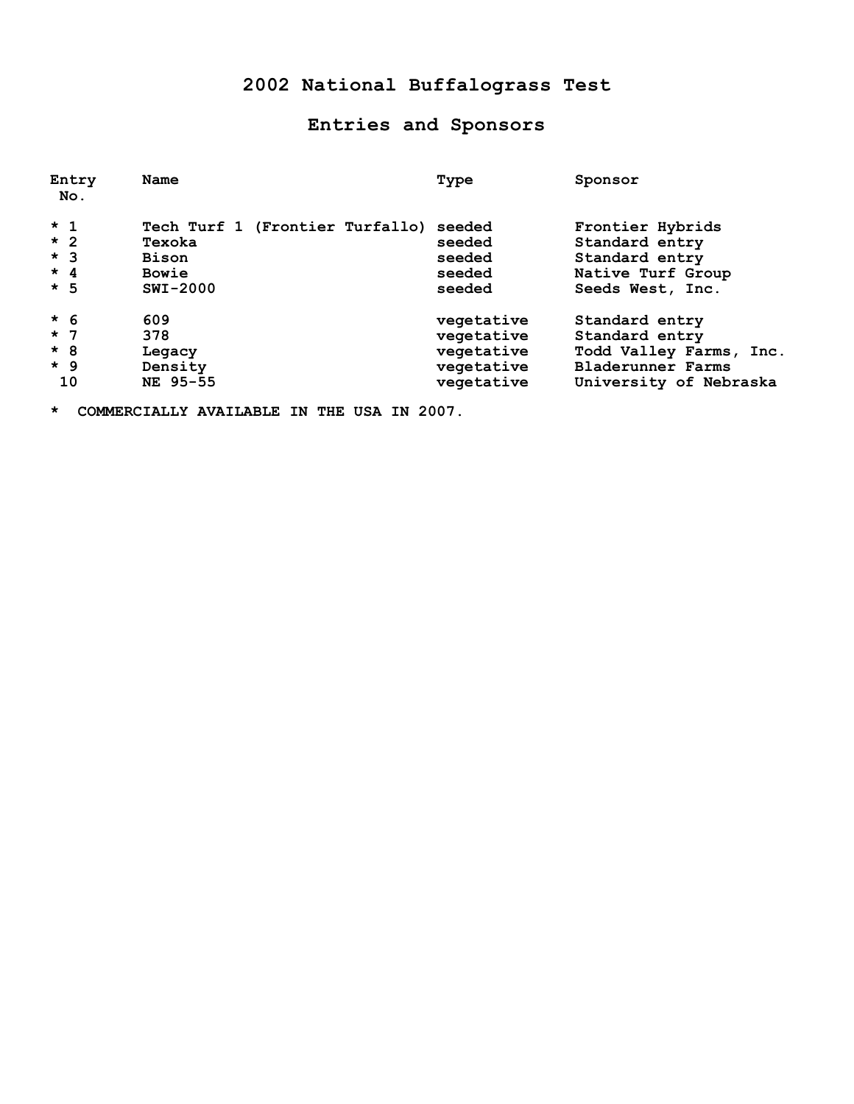# **2002 National Buffalograss Test**

# **Entries and Sponsors**

| Entry<br>No. | Name                            | Type       | Sponsor                  |
|--------------|---------------------------------|------------|--------------------------|
| $\star$ 1    | Tech Turf 1 (Frontier Turfallo) | seeded     | Frontier Hybrids         |
| $\star$ 2    | Texoka                          | seeded     | Standard entry           |
| $*$ 3        | <b>Bison</b>                    | seeded     | Standard entry           |
| $\star$ 4    | Bowie                           | seeded     | Native Turf Group        |
| $*$ 5        | $SWI-2000$                      | seeded     | Seeds West, Inc.         |
| $* 6$        | 609                             | vegetative | Standard entry           |
| $\star$ 7    | 378                             | vegetative | Standard entry           |
| $* 8$        | Legacy                          | vegetative | Todd Valley Farms, Inc.  |
| $*$ 9        | Density                         | vegetative | <b>Bladerunner Farms</b> |
| 10           | NE 95-55                        | vegetative | University of Nebraska   |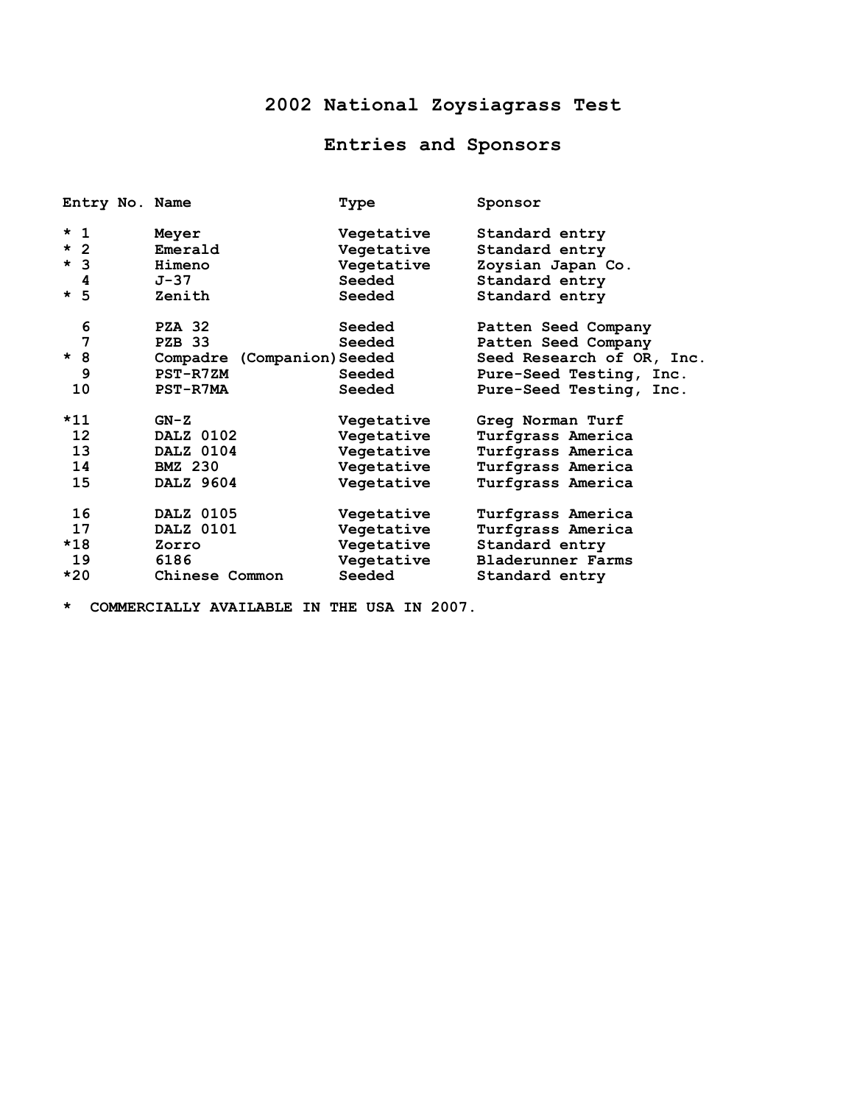# **2002 National Zoysiagrass Test**

# **Entries and Sponsors**

| Entry No. Name  |                             | Type       | Sponsor                   |
|-----------------|-----------------------------|------------|---------------------------|
| $*1$            | Meyer                       | Vegetative | Standard entry            |
| $*2$            | Emerald                     | Vegetative | Standard entry            |
| $*$ 3           | Himeno                      | Vegetative | Zoysian Japan Co.         |
| 4               | J-37                        | Seeded     | Standard entry            |
| $* 5$           | Zenith                      | Seeded     | Standard entry            |
| 6               | <b>PZA 32</b>               | Seeded     | Patten Seed Company       |
| 7               | <b>PZB 33</b>               | Seeded     | Patten Seed Company       |
| $* 8$           | Compadre (Companion) Seeded |            | Seed Research of OR, Inc. |
| 9               | <b>PST-R7ZM</b>             | Seeded     | Pure-Seed Testing, Inc.   |
| 10              | <b>PST-R7MA</b>             | Seeded     | Pure-Seed Testing, Inc.   |
| $*11$           | $GN-Z$                      | Vegetative | Greg Norman Turf          |
| 12 <sup>2</sup> | DALZ 0102                   | Vegetative | Turfgrass America         |
| 13              | DALZ 0104                   | Vegetative | Turfgrass America         |
| 14              | <b>BMZ 230</b>              | Vegetative | Turfgrass America         |
| 15              | DALZ 9604                   | Vegetative | Turfgrass America         |
| 16              | DALZ 0105                   | Vegetative | Turfgrass America         |
| 17              | DALZ 0101                   | Vegetative | Turfgrass America         |
| $*18$           | Zorro                       | Vegetative | Standard entry            |
| 19              | 6186                        | Vegetative | <b>Bladerunner Farms</b>  |
| *20             | Chinese Common              | Seeded     | Standard entry            |